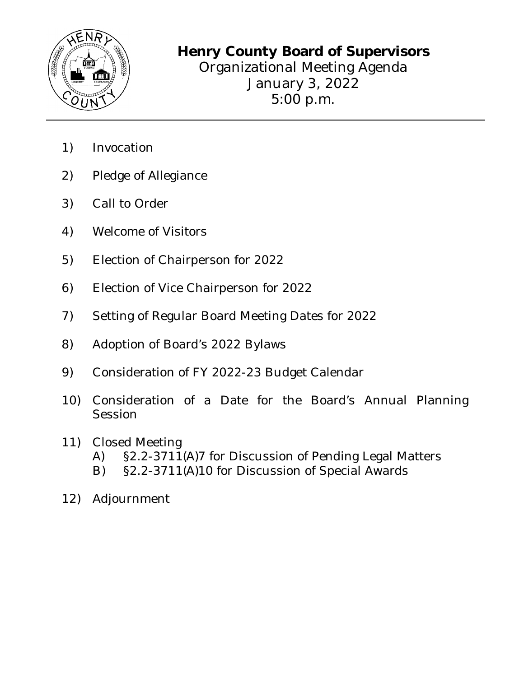

Organizational Meeting Agenda January 3, 2022 5:00 p.m.

- 1) Invocation
- 2) Pledge of Allegiance
- 3) Call to Order
- 4) Welcome of Visitors
- 5) Election of Chairperson for 2022
- 6) Election of Vice Chairperson for 2022
- 7) Setting of Regular Board Meeting Dates for 2022
- 8) Adoption of Board's 2022 Bylaws
- 9) Consideration of FY 2022-23 Budget Calendar
- 10) Consideration of a Date for the Board's Annual Planning Session
- 11) Closed Meeting
	- A) §2.2-3711(A)7 for Discussion of Pending Legal Matters
	- B) §2.2-3711(A)10 for Discussion of Special Awards
- 12) Adjournment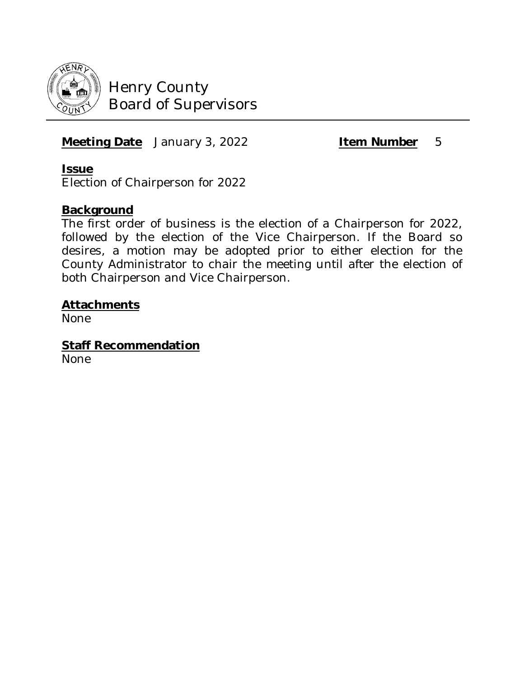

**Meeting Date** January 3, 2022 **Item Number** 5

#### **Issue**

Election of Chairperson for 2022

## **Background**

The first order of business is the election of a Chairperson for 2022, followed by the election of the Vice Chairperson. If the Board so desires, a motion may be adopted prior to either election for the County Administrator to chair the meeting until after the election of both Chairperson and Vice Chairperson.

## **Attachments**

None

**Staff Recommendation**

None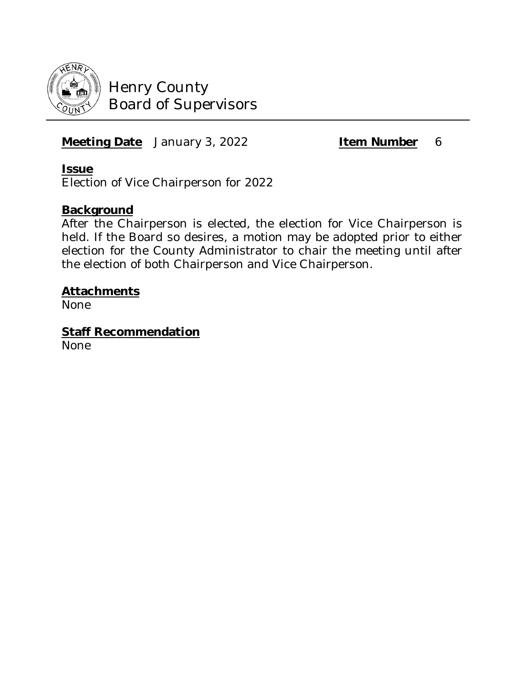

## **Meeting Date** January 3, 2022 **Item Number** 6

#### **Issue**

Election of Vice Chairperson for 2022

## **Background**

After the Chairperson is elected, the election for Vice Chairperson is held. If the Board so desires, a motion may be adopted prior to either election for the County Administrator to chair the meeting until after the election of both Chairperson and Vice Chairperson.

#### **Attachments**

None

**Staff Recommendation**

None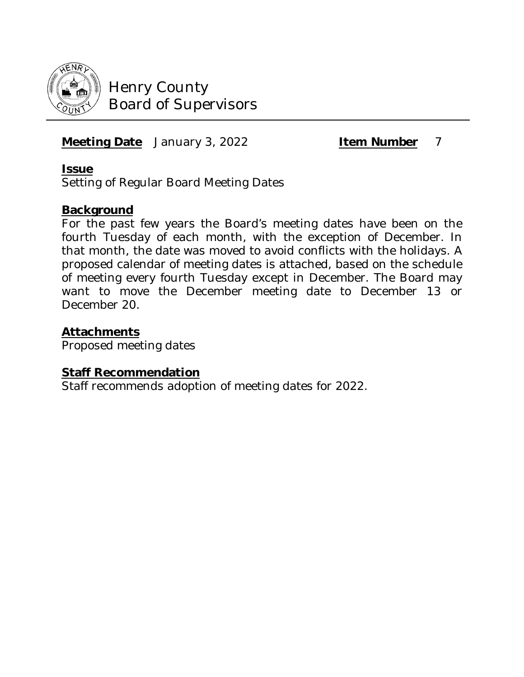

**Meeting Date** January 3, 2022 **Item Number** 7

#### **Issue**

Setting of Regular Board Meeting Dates

## **Background**

For the past few years the Board's meeting dates have been on the fourth Tuesday of each month, with the exception of December. In that month, the date was moved to avoid conflicts with the holidays. A proposed calendar of meeting dates is attached, based on the schedule of meeting every fourth Tuesday except in December. The Board may want to move the December meeting date to December 13 or December 20.

#### **Attachments**

Proposed meeting dates

#### **Staff Recommendation**

Staff recommends adoption of meeting dates for 2022.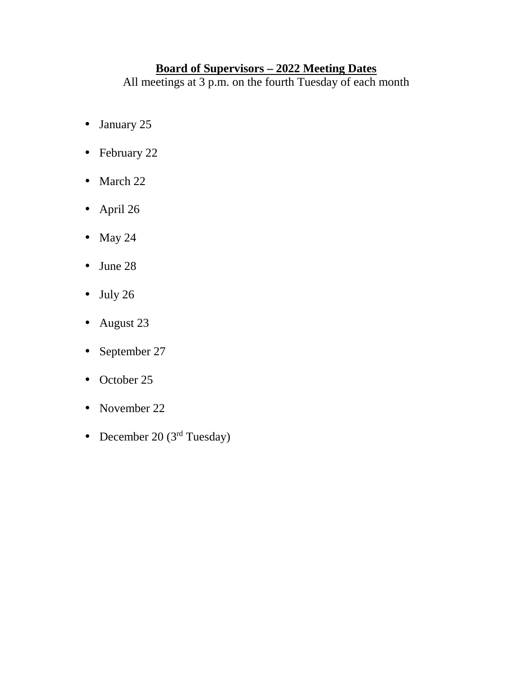## **Board of Supervisors – 2022 Meeting Dates**

All meetings at 3 p.m. on the fourth Tuesday of each month

- January 25  $\mathbf{r}^{\prime}$
- February 22 k,
- March 22 ¥,
- April 26
- May 24  $\epsilon$
- June 28  $\mathbf{r}^{\prime}$
- July 26
- August 23
- September 27  $\blacksquare$
- October 25  $\mathbf{r}$
- November 22 ¥,
- December 20 ( $3<sup>rd</sup> Tuesday$ )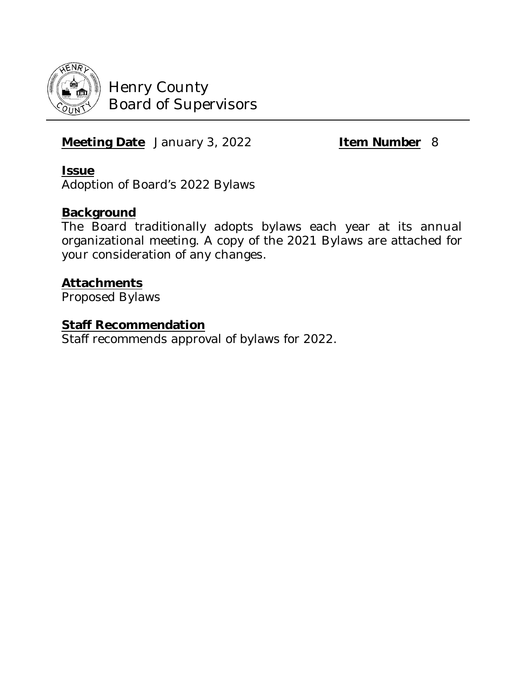

# **Meeting Date** January 3, 2022 **Item Number** 8

#### **Issue**

Adoption of Board's 2022 Bylaws

## **Background**

The Board traditionally adopts bylaws each year at its annual organizational meeting. A copy of the 2021 Bylaws are attached for your consideration of any changes.

## **Attachments**

Proposed Bylaws

#### **Staff Recommendation**

Staff recommends approval of bylaws for 2022.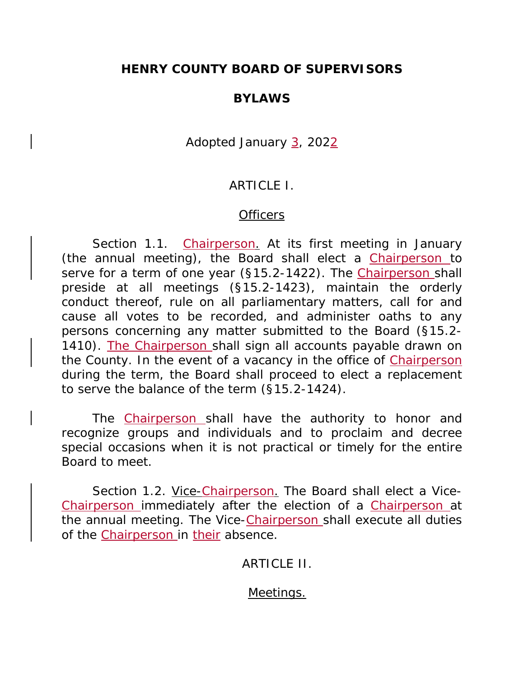## **HENRY COUNTY BOARD OF SUPERVISORS**

#### **BYLAWS**

#### Adopted January 3, 2022

#### ARTICLE I.

#### **Officers**

Section 1.1. Chairperson. At its first meeting in January (the annual meeting), the Board shall elect a Chairperson to serve for a term of one year (§15.2-1422). The Chairperson shall preside at all meetings (§15.2-1423), maintain the orderly conduct thereof, rule on all parliamentary matters, call for and cause all votes to be recorded, and administer oaths to any persons concerning any matter submitted to the Board (§15.2- 1410). The Chairperson shall sign all accounts payable drawn on the County. In the event of a vacancy in the office of Chairperson during the term, the Board shall proceed to elect a replacement to serve the balance of the term (§15.2-1424).

The Chairperson shall have the authority to honor and recognize groups and individuals and to proclaim and decree special occasions when it is not practical or timely for the entire Board to meet.

Section 1.2. Vice-Chairperson. The Board shall elect a Vice-Chairperson immediately after the election of a Chairperson at the annual meeting. The Vice-Chairperson shall execute all duties of the Chairperson in their absence.

#### ARTICLE II.

#### Meetings.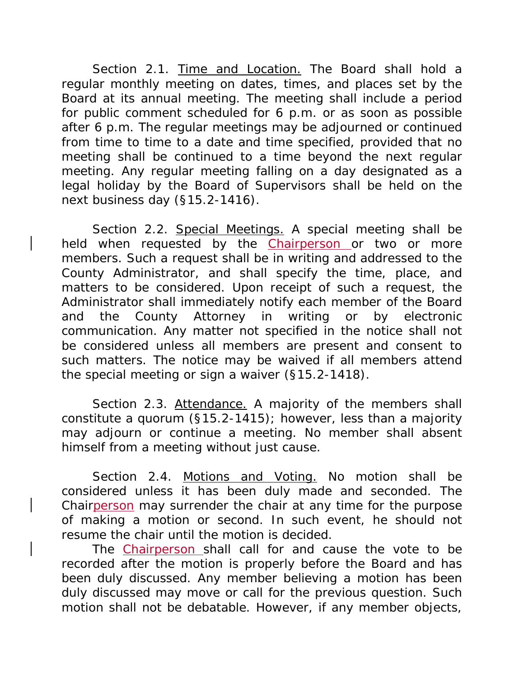Section 2.1. Time and Location. The Board shall hold a regular monthly meeting on dates, times, and places set by the Board at its annual meeting. The meeting shall include a period for public comment scheduled for 6 p.m. or as soon as possible after 6 p.m. The regular meetings may be adjourned or continued from time to time to a date and time specified, provided that no meeting shall be continued to a time beyond the next regular meeting. Any regular meeting falling on a day designated as a legal holiday by the Board of Supervisors shall be held on the next business day (§15.2-1416).

Section 2.2. Special Meetings. A special meeting shall be held when requested by the Chairperson or two or more members. Such a request shall be in writing and addressed to the County Administrator, and shall specify the time, place, and matters to be considered. Upon receipt of such a request, the Administrator shall immediately notify each member of the Board and the County Attorney in writing or by electronic communication. Any matter not specified in the notice shall not be considered unless all members are present and consent to such matters. The notice may be waived if all members attend the special meeting or sign a waiver (§15.2-1418).

Section 2.3. Attendance. A majority of the members shall constitute a quorum (§15.2-1415); however, less than a majority may adjourn or continue a meeting. No member shall absent himself from a meeting without just cause.

Section 2.4. Motions and Voting. No motion shall be considered unless it has been duly made and seconded. The Chairperson may surrender the chair at any time for the purpose of making a motion or second. In such event, he should not resume the chair until the motion is decided.

The Chairperson shall call for and cause the vote to be recorded after the motion is properly before the Board and has been duly discussed. Any member believing a motion has been duly discussed may move or call for the previous question. Such motion shall not be debatable. However, if any member objects,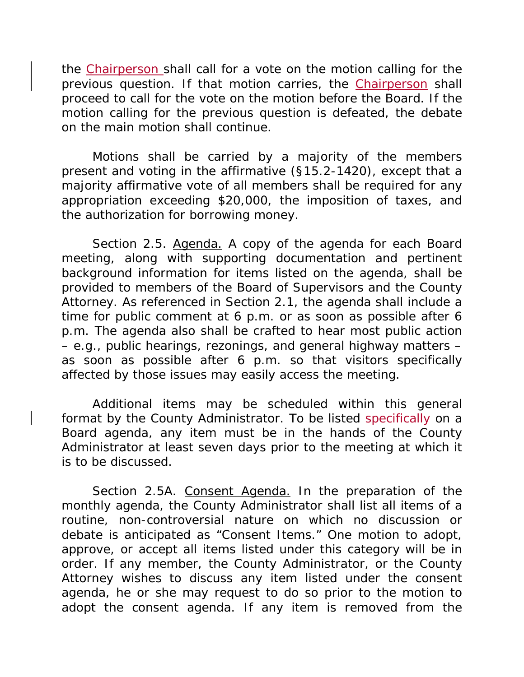the Chairperson shall call for a vote on the motion calling for the previous question. If that motion carries, the Chairperson shall proceed to call for the vote on the motion before the Board. If the motion calling for the previous question is defeated, the debate on the main motion shall continue.

Motions shall be carried by a majority of the members present and voting in the affirmative (§15.2-1420), except that a majority affirmative vote of all members shall be required for any appropriation exceeding \$20,000, the imposition of taxes, and the authorization for borrowing money.

Section 2.5. Agenda. A copy of the agenda for each Board meeting, along with supporting documentation and pertinent background information for items listed on the agenda, shall be provided to members of the Board of Supervisors and the County Attorney. As referenced in Section 2.1, the agenda shall include a time for public comment at 6 p.m. or as soon as possible after 6 p.m. The agenda also shall be crafted to hear most public action – e.g., public hearings, rezonings, and general highway matters – as soon as possible after 6 p.m. so that visitors specifically affected by those issues may easily access the meeting.

Additional items may be scheduled within this general format by the County Administrator. To be listed specifically on a Board agenda, any item must be in the hands of the County Administrator at least seven days prior to the meeting at which it is to be discussed.

Section 2.5A. Consent Agenda. In the preparation of the monthly agenda, the County Administrator shall list all items of a routine, non-controversial nature on which no discussion or debate is anticipated as "Consent Items." One motion to adopt, approve, or accept all items listed under this category will be in order. If any member, the County Administrator, or the County Attorney wishes to discuss any item listed under the consent agenda, he or she may request to do so prior to the motion to adopt the consent agenda. If any item is removed from the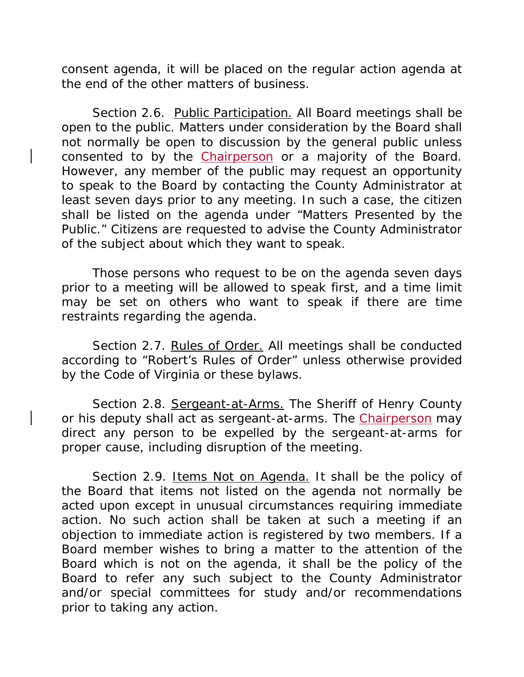consent agenda, it will be placed on the regular action agenda at the end of the other matters of business.

Section 2.6. Public Participation. All Board meetings shall be open to the public. Matters under consideration by the Board shall not normally be open to discussion by the general public unless consented to by the Chairperson or a majority of the Board. However, any member of the public may request an opportunity to speak to the Board by contacting the County Administrator at least seven days prior to any meeting. In such a case, the citizen shall be listed on the agenda under "Matters Presented by the Public." Citizens are requested to advise the County Administrator of the subject about which they want to speak.

Those persons who request to be on the agenda seven days prior to a meeting will be allowed to speak first, and a time limit may be set on others who want to speak if there are time restraints regarding the agenda.

Section 2.7. Rules of Order. All meetings shall be conducted according to "Robert's Rules of Order" unless otherwise provided by the Code of Virginia or these bylaws.

Section 2.8. Sergeant-at-Arms. The Sheriff of Henry County or his deputy shall act as sergeant-at-arms. The **Chairperson** may direct any person to be expelled by the sergeant-at-arms for proper cause, including disruption of the meeting.

Section 2.9. Items Not on Agenda. It shall be the policy of the Board that items not listed on the agenda not normally be acted upon except in unusual circumstances requiring immediate action. No such action shall be taken at such a meeting if an objection to immediate action is registered by two members. If a Board member wishes to bring a matter to the attention of the Board which is not on the agenda, it shall be the policy of the Board to refer any such subject to the County Administrator and/or special committees for study and/or recommendations prior to taking any action.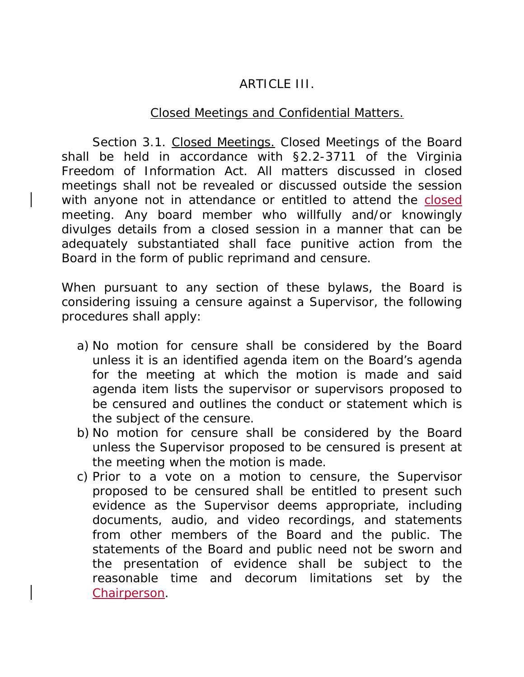# ARTICLE III.

## Closed Meetings and Confidential Matters.

Section 3.1. Closed Meetings. Closed Meetings of the Board shall be held in accordance with §2.2-3711 of the Virginia Freedom of Information Act. All matters discussed in closed meetings shall not be revealed or discussed outside the session with anyone not in attendance or entitled to attend the closed meeting. Any board member who willfully and/or knowingly divulges details from a closed session in a manner that can be adequately substantiated shall face punitive action from the Board in the form of public reprimand and censure.

When pursuant to any section of these bylaws, the Board is considering issuing a censure against a Supervisor, the following procedures shall apply:

- a) No motion for censure shall be considered by the Board unless it is an identified agenda item on the Board's agenda for the meeting at which the motion is made and said agenda item lists the supervisor or supervisors proposed to be censured and outlines the conduct or statement which is the subject of the censure.
- b) No motion for censure shall be considered by the Board unless the Supervisor proposed to be censured is present at the meeting when the motion is made.
- c) Prior to a vote on a motion to censure, the Supervisor proposed to be censured shall be entitled to present such evidence as the Supervisor deems appropriate, including documents, audio, and video recordings, and statements from other members of the Board and the public. The statements of the Board and public need not be sworn and the presentation of evidence shall be subject to the reasonable time and decorum limitations set by the Chairperson.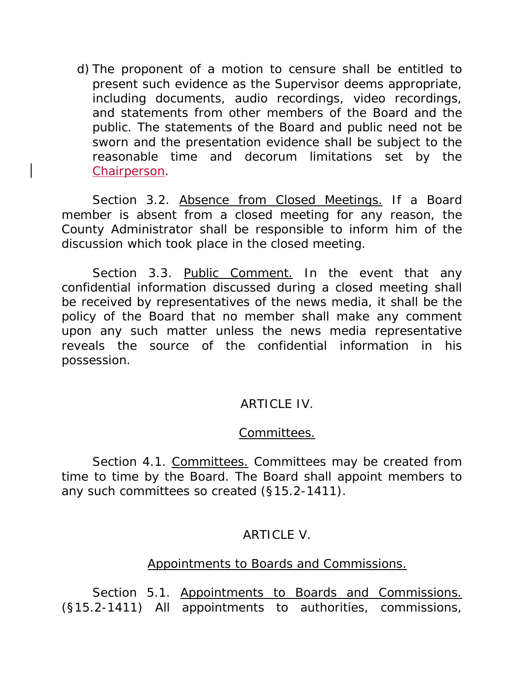d) The proponent of a motion to censure shall be entitled to present such evidence as the Supervisor deems appropriate, including documents, audio recordings, video recordings, and statements from other members of the Board and the public. The statements of the Board and public need not be sworn and the presentation evidence shall be subject to the reasonable time and decorum limitations set by the Chairperson.

Section 3.2. Absence from Closed Meetings. If a Board member is absent from a closed meeting for any reason, the County Administrator shall be responsible to inform him of the discussion which took place in the closed meeting.

Section 3.3. Public Comment. In the event that any confidential information discussed during a closed meeting shall be received by representatives of the news media, it shall be the policy of the Board that no member shall make any comment upon any such matter unless the news media representative reveals the source of the confidential information in his possession.

#### ARTICLE IV.

#### Committees.

Section 4.1. Committees. Committees may be created from time to time by the Board. The Board shall appoint members to any such committees so created (§15.2-1411).

#### ARTICLE V.

#### Appointments to Boards and Commissions.

Section 5.1. Appointments to Boards and Commissions. (§15.2-1411) All appointments to authorities, commissions,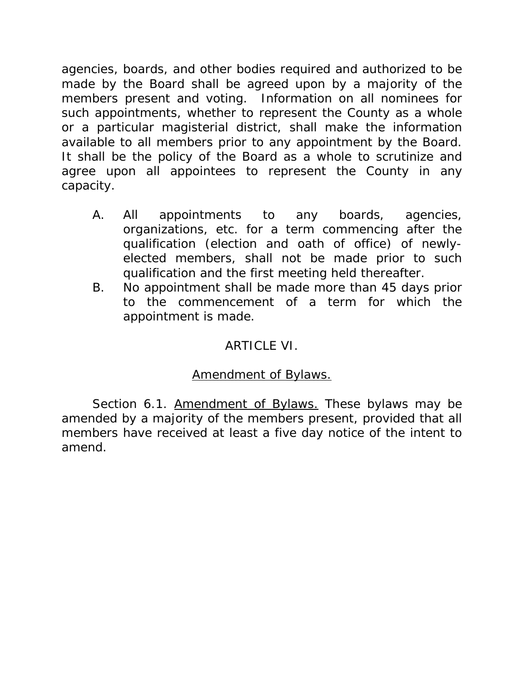agencies, boards, and other bodies required and authorized to be made by the Board shall be agreed upon by a majority of the members present and voting. Information on all nominees for such appointments, whether to represent the County as a whole or a particular magisterial district, shall make the information available to all members prior to any appointment by the Board. It shall be the policy of the Board as a whole to scrutinize and agree upon all appointees to represent the County in any capacity.

- A. All appointments to any boards, agencies, organizations, etc. for a term commencing after the qualification (election and oath of office) of newlyelected members, shall not be made prior to such qualification and the first meeting held thereafter.
- B. No appointment shall be made more than 45 days prior to the commencement of a term for which the appointment is made.

# ARTICLE VI.

## Amendment of Bylaws.

Section 6.1. Amendment of Bylaws. These bylaws may be amended by a majority of the members present, provided that all members have received at least a five day notice of the intent to amend.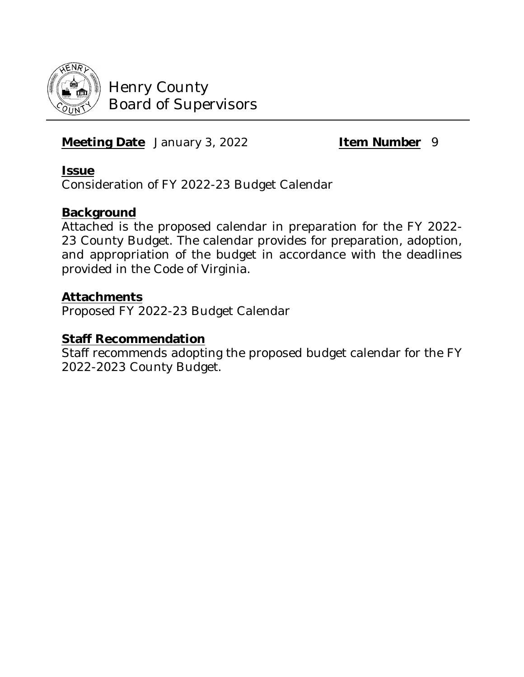

# **Meeting Date** January 3, 2022 **Item Number** 9

## **Issue**

Consideration of FY 2022-23 Budget Calendar

## **Background**

Attached is the proposed calendar in preparation for the FY 2022- 23 County Budget. The calendar provides for preparation, adoption, and appropriation of the budget in accordance with the deadlines provided in the Code of Virginia.

## **Attachments**

Proposed FY 2022-23 Budget Calendar

#### **Staff Recommendation**

Staff recommends adopting the proposed budget calendar for the FY 2022-2023 County Budget.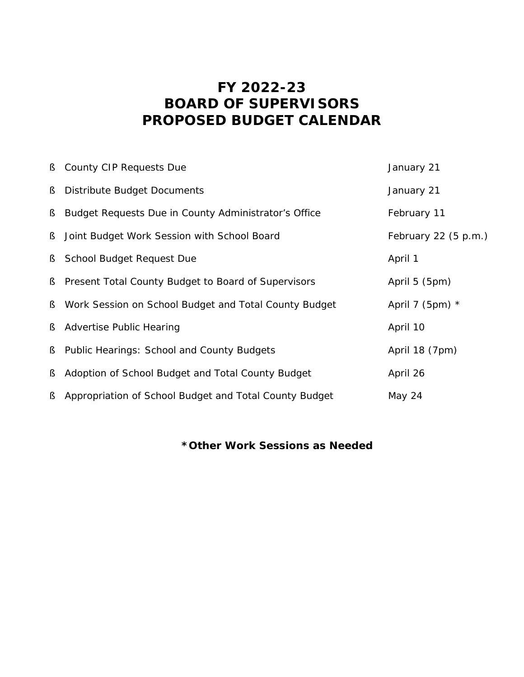# **FY 2022-23 BOARD OF SUPERVISORS PROPOSED BUDGET CALENDAR**

|    | S County CIP Requests Due                              | January 21             |
|----|--------------------------------------------------------|------------------------|
| §. | Distribute Budget Documents                            | January 21             |
| Ş  | Budget Requests Due in County Administrator's Office   | February 11            |
| §. | Joint Budget Work Session with School Board            | February 22 $(5 p.m.)$ |
| §  | School Budget Request Due                              | April 1                |
| §. | Present Total County Budget to Board of Supervisors    | April 5 (5pm)          |
| §. | Work Session on School Budget and Total County Budget  | April 7 (5pm) $*$      |
| §. | <b>Advertise Public Hearing</b>                        | April 10               |
| S  | Public Hearings: School and County Budgets             | April 18 (7pm)         |
| S  | Adoption of School Budget and Total County Budget      | April 26               |
| §  | Appropriation of School Budget and Total County Budget | May 24                 |

## **\*Other Work Sessions as Needed**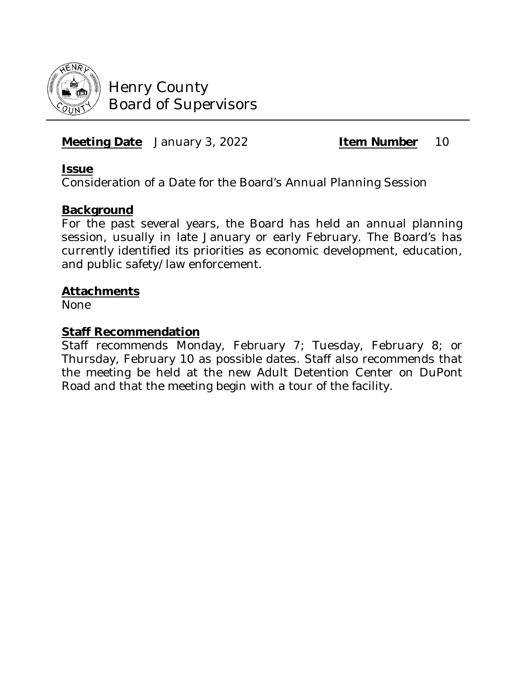

## **Meeting Date** January 3, 2022 **Item Number** 10

#### **Issue**

Consideration of a Date for the Board's Annual Planning Session

#### **Background**

For the past several years, the Board has held an annual planning session, usually in late January or early February. The Board's has currently identified its priorities as economic development, education, and public safety/law enforcement.

#### **Attachments**

None

#### **Staff Recommendation**

Staff recommends Monday, February 7; Tuesday, February 8; or Thursday, February 10 as possible dates. Staff also recommends that the meeting be held at the new Adult Detention Center on DuPont Road and that the meeting begin with a tour of the facility.